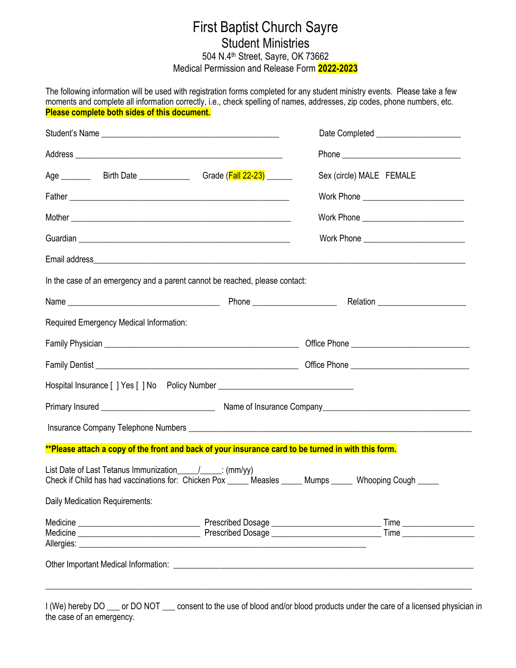## First Baptist Church Sayre Student Ministries 504 N.4<sup>th</sup> Street, Sayre, OK 73662 Medical Permission and Release Form **2022-2023**

The following information will be used with registration forms completed for any student ministry events. Please take a few moments and complete all information correctly, i.e., check spelling of names, addresses, zip codes, phone numbers, etc. **Please complete both sides of this document.**

| Age ____________Birth Date __________________Grade (Fall 22-23) _______                                                                                                                                                              | Sex (circle) MALE FEMALE |
|--------------------------------------------------------------------------------------------------------------------------------------------------------------------------------------------------------------------------------------|--------------------------|
|                                                                                                                                                                                                                                      |                          |
|                                                                                                                                                                                                                                      |                          |
| Guardian entre and the contract of the contract of the contract of the contract of the contract of the contract of the contract of the contract of the contract of the contract of the contract of the contract of the contrac       |                          |
|                                                                                                                                                                                                                                      |                          |
| In the case of an emergency and a parent cannot be reached, please contact:                                                                                                                                                          |                          |
|                                                                                                                                                                                                                                      |                          |
| Required Emergency Medical Information:                                                                                                                                                                                              |                          |
|                                                                                                                                                                                                                                      |                          |
|                                                                                                                                                                                                                                      |                          |
| Hospital Insurance [ ] Yes [ ] No  Policy Number _______________________________                                                                                                                                                     |                          |
|                                                                                                                                                                                                                                      |                          |
|                                                                                                                                                                                                                                      |                          |
| **Please attach a copy of the front and back of your insurance card to be turned in with this form.                                                                                                                                  |                          |
| List Date of Last Tetanus Immunization______________: (mm/yy)<br>Check if Child has had vaccinations for: Chicken Pox _____ Measles _____ Mumps _____ Whooping Cough _____                                                           |                          |
| Daily Medication Requirements:                                                                                                                                                                                                       |                          |
|                                                                                                                                                                                                                                      | Time                     |
| Other Important Medical Information: <u>contract and a series of the series of the series of the series of the series of the series of the series of the series of the series of the series of the series of the series of the s</u> |                          |

I (We) hereby DO \_\_\_ or DO NOT \_\_\_ consent to the use of blood and/or blood products under the care of a licensed physician in the case of an emergency.